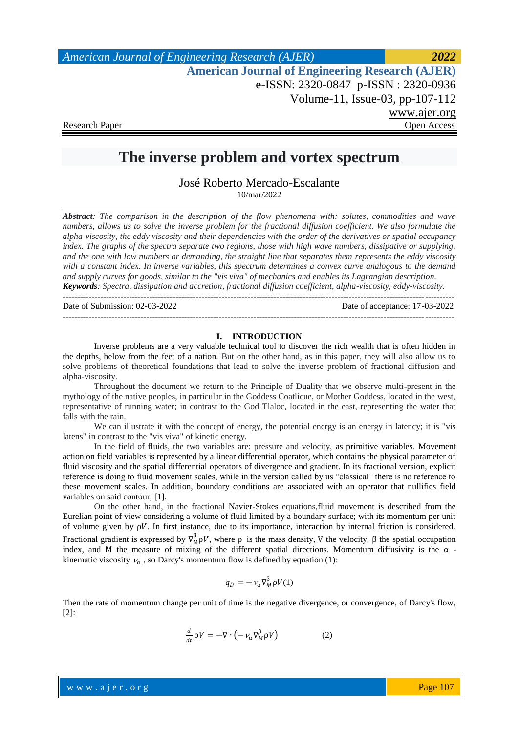*American Journal of Engineering Research (AJER) 2022*  **American Journal of Engineering Research (AJER)** e-ISSN: 2320-0847 p-ISSN : 2320-0936 Volume-11, Issue-03, pp-107-112 www.ajer.org Research Paper **Open Access** Open Access **Open Access** 

# **The inverse problem and vortex spectrum**

José Roberto Mercado-Escalante 10/mar/2022

*Abstract: The comparison in the description of the flow phenomena with: solutes, commodities and wave numbers, allows us to solve the inverse problem for the fractional diffusion coefficient. We also formulate the alpha-viscosity, the eddy viscosity and their dependencies with the order of the derivatives or spatial occupancy index. The graphs of the spectra separate two regions, those with high wave numbers, dissipative or supplying, and the one with low numbers or demanding, the straight line that separates them represents the eddy viscosity with a constant index. In inverse variables, this spectrum determines a convex curve analogous to the demand and supply curves for goods, similar to the "vis viva" of mechanics and enables its Lagrangian description. Keywords: Spectra, dissipation and accretion, fractional diffusion coefficient, alpha-viscosity, eddy-viscosity.*

---------------------------------------------------------------------------------------------------------------------------------------

Date of Submission: 02-03-2022 Date of acceptance: 17-03-2022

#### **I. INTRODUCTION**

---------------------------------------------------------------------------------------------------------------------------------------

Inverse problems are a very valuable technical tool to discover the rich wealth that is often hidden in the depths, below from the feet of a nation. But on the other hand, as in this paper, they will also allow us to solve problems of theoretical foundations that lead to solve the inverse problem of fractional diffusion and alpha-viscosity.

Throughout the document we return to the Principle of Duality that we observe multi-present in the mythology of the native peoples, in particular in the Goddess Coatlicue, or Mother Goddess, located in the west, representative of running water; in contrast to the God Tlaloc, located in the east, representing the water that falls with the rain.

We can illustrate it with the concept of energy, the potential energy is an energy in latency; it is "vis latens" in contrast to the "vis viva" of kinetic energy.

In the field of fluids, the two variables are: pressure and velocity, as primitive variables. Movement action on field variables is represented by a linear differential operator, which contains the physical parameter of fluid viscosity and the spatial differential operators of divergence and gradient. In its fractional version, explicit reference is doing to fluid movement scales, while in the version called by us "classical" there is no reference to these movement scales. In addition, boundary conditions are associated with an operator that nullifies field variables on said contour, [1].

On the other hand, in the fractional Navier-Stokes equations,fluid movement is described from the Eurelian point of view considering a volume of fluid limited by a boundary surface; with its momentum per unit of volume given by  $\rho V$ . In first instance, due to its importance, interaction by internal friction is considered. Fractional gradient is expressed by  $\nabla_M^{\beta} \rho V$ , where  $\rho$  is the mass density, V the velocity,  $\beta$  the spatial occupation index, and M the measure of mixing of the different spatial directions. Momentum diffusivity is the  $\alpha$  kinematic viscosity  $v_{\alpha}$ , so Darcy's momentum flow is defined by equation (1):

$$
q_D = -\nu_\alpha \nabla_M^{\beta} \rho V(1)
$$

Then the rate of momentum change per unit of time is the negative divergence, or convergence, of Darcy's flow, [2]:

$$
\frac{d}{dt}\rho V = -\nabla \cdot \left( -\nu_{\alpha} \nabla_M^{\beta} \rho V \right) \tag{2}
$$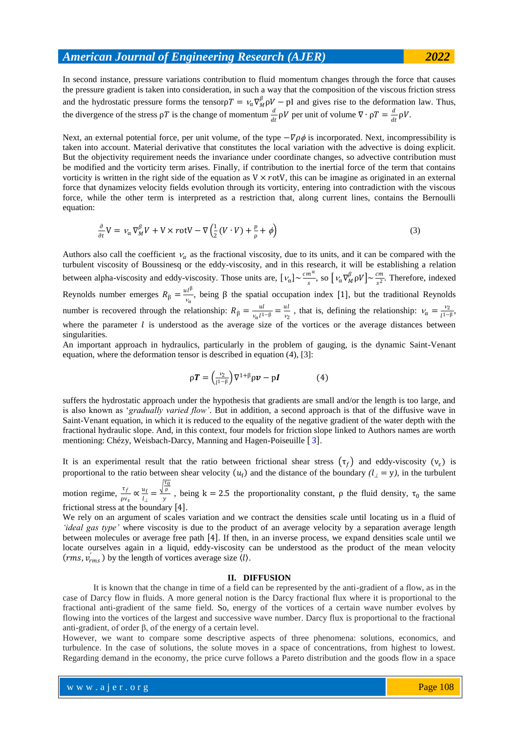In second instance, pressure variations contribution to fluid momentum changes through the force that causes the pressure gradient is taken into consideration, in such a way that the composition of the viscous friction stress and the hydrostatic pressure forms the tensor $\rho T = v_\alpha \nabla_M^{\beta} \rho V - \rho I$  and gives rise to the deformation law. Thus, the divergence of the stress  $\rho T$  is the change of momentum  $\frac{d}{dt} \rho V$  per unit of volume  $\nabla \cdot \rho T = \frac{d}{dt}$  $\frac{a}{dt} \rho V$ .

Next, an external potential force, per unit volume, of the type  $-\nabla \rho \phi$  is incorporated. Next, incompressibility is taken into account. Material derivative that constitutes the local variation with the advective is doing explicit. But the objectivity requirement needs the invariance under coordinate changes, so advective contribution must be modified and the vorticity term arises. Finally, if contribution to the inertial force of the term that contains vorticity is written in the right side of the equation as  $V \times \text{rot}V$ , this can be imagine as originated in an external force that dynamizes velocity fields evolution through its vorticity, entering into contradiction with the viscous force, while the other term is interpreted as a restriction that, along current lines, contains the Bernoulli equation:

$$
\frac{\partial}{\partial t}V = \nu_{\alpha} \nabla_M^{\beta} V + V \times rotV - \nabla \left( \frac{1}{2} (V \cdot V) + \frac{p}{\rho} + \phi \right)
$$
\n(3)

Authors also call the coefficient  $v_{\alpha}$  as the fractional viscosity, due to its units, and it can be compared with the turbulent viscosity of Boussinesq or the eddy-viscosity, and in this research, it will be establishing a relation between alpha-viscosity and eddy-viscosity. Those units are,  $[\nu_{\alpha}] \sim \frac{cm^{\alpha}}{s}$  $\frac{n^{\alpha}}{s}$ , so  $\left[\nu_{\alpha} \nabla_M^{\beta} \rho V\right] \sim \frac{cm}{s^2}$  $\frac{2m}{s^2}$ . Therefore, indexed Reynolds number emerges  $R_{\beta} = \frac{u l^{\beta}}{v}$  $\frac{\partial u}{\partial r}$ , being  $\beta$  the spatial occupation index [1], but the traditional Reynolds number is recovered through the relationship:  $R_{\beta} = \frac{ul}{v l^2}$  $\frac{ul}{v_{\alpha}l^{1-\beta}} = \frac{ul}{v_2}$  $\frac{u}{v_2}$ , that is, defining the relationship:  $v_\alpha = \frac{v_2}{l^{1-\alpha}}$  $\frac{v_2}{l^{1-\beta}},$ where the parameter  $l$  is understood as the average size of the vortices or the average distances between singularities.

An important approach in hydraulics, particularly in the problem of gauging, is the dynamic Saint-Venant equation, where the deformation tensor is described in equation (4), [3]:

$$
\rho \boldsymbol{T} = \left(\frac{v_2}{l^{1-\beta}}\right) \nabla^{1+\beta} \rho \boldsymbol{\nu} - p \boldsymbol{I} \tag{4}
$$

suffers the hydrostatic approach under the hypothesis that gradients are small and/or the length is too large, and is also known as "*gradually varied flow'*. But in addition, a second approach is that of the diffusive wave in Saint-Venant equation, in which it is reduced to the equality of the negative gradient of the water depth with the fractional hydraulic slope. And, in this context, four models for friction slope linked to Authors names are worth mentioning: Chézy, Weisbach-Darcy, Manning and Hagen-Poiseuille [3].

It is an experimental result that the ratio between frictional shear stress  $(\tau_f)$  and eddy-viscosity  $(v_{\varepsilon})$  is proportional to the ratio between shear velocity  $(u_f)$  and the distance of the boundary  $(l_1 = y)$ , in the turbulent

motion regime,  $\frac{\tau_f}{\rho v_{\varepsilon}} \propto \frac{u_f}{l_f}$  $\frac{u_f}{l_{\perp}} = \frac{\sqrt{\frac{\tau_0}{\rho}}}{y}$  $\frac{\rho}{y}$ , being k = 2.5 the proportionality constant,  $\rho$  the fluid density,  $\tau_0$  the same frictional stress at the boundary  $[4]$ .

We rely on an argument of scales variation and we contract the densities scale until locating us in a fluid of *'ideal gas type'* where viscosity is due to the product of an average velocity by a separation average length between molecules or average free path [4]. If then, in an inverse process, we expand densities scale until we locate ourselves again in a liquid, eddy-viscosity can be understood as the product of the mean velocity (*rms*,  $v'_{rms}$ ) by the length of vortices average size  $(l)$ .

## **II. DIFFUSION**

It is known that the change in time of a field can be represented by the anti-gradient of a flow, as in the case of Darcy flow in fluids. A more general notion is the Darcy fractional flux where it is proportional to the fractional anti-gradient of the same field. So, energy of the vortices of a certain wave number evolves by flowing into the vortices of the largest and successive wave number. Darcy flux is proportional to the fractional anti-gradient, of order β, of the energy of a certain level.

However, we want to compare some descriptive aspects of three phenomena: solutions, economics, and turbulence. In the case of solutions, the solute moves in a space of concentrations, from highest to lowest. Regarding demand in the economy, the price curve follows a Pareto distribution and the goods flow in a space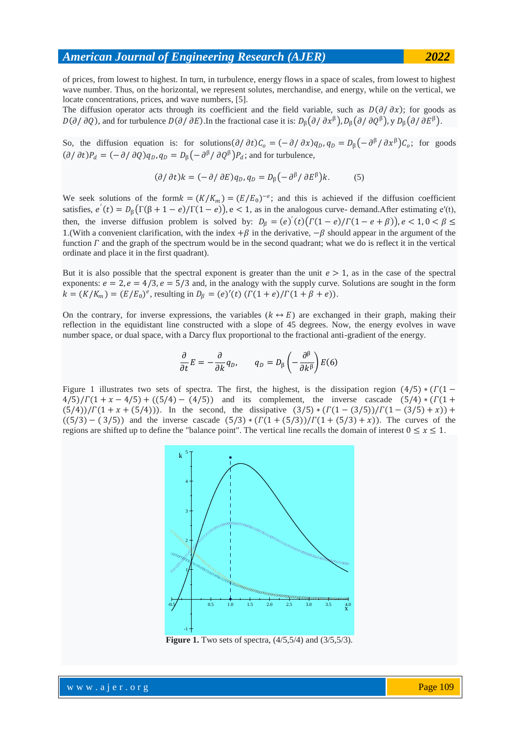of prices, from lowest to highest. In turn, in turbulence, energy flows in a space of scales, from lowest to highest wave number. Thus, on the horizontal, we represent solutes, merchandise, and energy, while on the vertical, we locate concentrations, prices, and wave numbers, [5].

The diffusion operator acts through its coefficient and the field variable, such as  $D(\partial/\partial x)$ ; for goods as  $D(\partial/\partial Q)$ , and for turbulence  $D(\partial/\partial E)$ . In the fractional case it is:  $D_{\beta}(\partial/\partial x^{\beta})$ ,  $D_{\beta}(\partial/\partial Q^{\beta})$ ,  $y D_{\beta}(\partial/\partial E^{\beta})$ .

So, the diffusion equation is: for solutions  $(\partial/\partial t)C_o = (-\partial/\partial x)q_D, q_D = D_\beta(-\partial^\beta/\partial x^\beta)C_o$ ; for goods  $\left(\partial/\partial t\right)P_d = \left(-\partial/\partial Q\right)q_D, q_D = D_\beta\left(-\partial^\beta/\partial Q^\beta\right)P_d$ ; and for turbulence,

$$
(\partial/\partial t)k = (-\partial/\partial E)q_D, q_D = D_{\beta}(-\partial^{\beta}/\partial E^{\beta})k.
$$
 (5)

We seek solutions of the form  $k = (K/K_m) = (E/E_0)^{-e}$ ; and this is achieved if the diffusion coefficient satisfies,  $e'(t) = D_{\beta}(\Gamma(\beta + 1 - e)/\Gamma(1 - e))$ ,  $e < 1$ , as in the analogous curve-demand. After estimating  $e'(t)$ , then, the inverse diffusion problem is solved by:  $D_\beta = (e)'(t)(\Gamma(1-e)/\Gamma(1-e+\beta))$ ,  $e < 1, 0 < \beta \le$ 1.(With a convenient clarification, with the index  $+\beta$  in the derivative,  $-\beta$  should appear in the argument of the function  $\Gamma$  and the graph of the spectrum would be in the second quadrant; what we do is reflect it in the vertical ordinate and place it in the first quadrant).

But it is also possible that the spectral exponent is greater than the unit  $e > 1$ , as in the case of the spectral exponents:  $e = 2$ ,  $e = 4/3$ ,  $e = 5/3$  and, in the analogy with the supply curve. Solutions are sought in the form  $k = (K/K_m) = (E/E_0)^e$ , resulting in  $D_\beta = (e)'(t) ( \Gamma(1+e) / \Gamma(1+\beta+e) ).$ 

On the contrary, for inverse expressions, the variables  $(k \leftrightarrow E)$  are exchanged in their graph, making their reflection in the equidistant line constructed with a slope of 45 degrees. Now, the energy evolves in wave number space, or dual space, with a Darcy flux proportional to the fractional anti-gradient of the energy.

$$
\frac{\partial}{\partial t}E = -\frac{\partial}{\partial k}q_D, \qquad q_D = D_\beta \left(-\frac{\partial^\beta}{\partial k^\beta}\right)E(6)
$$

Figure 1 illustrates two sets of spectra. The first, the highest, is the dissipation region  $(4/5) * (1/1 \frac{4}{5}$ / $\Gamma(1 + x - 4/5) + \Gamma(5/4) - \frac{4}{5}$  and its complement, the inverse cascade  $\Gamma(5/4) * \Gamma(1 + x - 4/5)$  $(5/4)$ )/ $\Gamma(1 + x + (5/4))$ . In the second, the dissipative  $(3/5) * (\Gamma(1 - (3/5))/\Gamma(1 - (3/5) + x))$ +  $((5/3)-(3/5))$  and the inverse cascade  $(5/3)*(T(1+(5/3))/T(1+(5/3)+x))$ . The curves of the regions are shifted up to define the "balance point". The vertical line recalls the domain of interest  $0 \le x \le 1$ .



**Figure 1.** Two sets of spectra,  $(4/5,5/4)$  and  $(3/5,5/3)$ .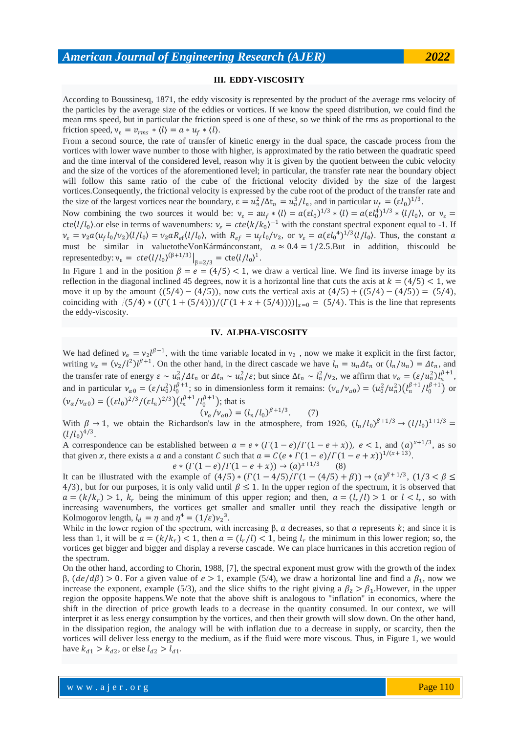# **III. EDDY-VISCOSITY**

According to Boussinesq, 1871, the eddy viscosity is represented by the product of the average rms velocity of the particles by the average size of the eddies or vortices. If we know the speed distribution, we could find the mean rms speed, but in particular the friction speed is one of these, so we think of the rms as proportional to the friction speed,  $v_{\varepsilon} = v_{rms} * \langle l \rangle = a * u_f * \langle l \rangle$ .

From a second source, the rate of transfer of kinetic energy in the dual space, the cascade process from the vortices with lower wave number to those with higher, is approximated by the ratio between the quadratic speed and the time interval of the considered level, reason why it is given by the quotient between the cubic velocity and the size of the vortices of the aforementioned level; in particular, the transfer rate near the boundary object will follow this same ratio of the cube of the frictional velocity divided by the size of the largest vortices.Consequently, the frictional velocity is expressed by the cube root of the product of the transfer rate and the size of the largest vortices near the boundary,  $\varepsilon = u_n^2/\Delta t_n = u_n^3/l_n$ , and in particular  $u_f = (\varepsilon l_0)^{1/3}$ .

Now combining the two sources it would be:  $v_{\epsilon} = au_f * \langle l \rangle = a(\epsilon l_0)^{1/3} * \langle l \rangle = a(\epsilon l_0^4)^{1/3} * \langle l \rangle / l_0$ , or  $v_{\epsilon} =$  $cte(l/l_0)$  or else in terms of wavenumbers:  $v_{\varepsilon} = cte\langle k/k_0 \rangle^{-1}$  with the constant spectral exponent equal to -1. If  $\nu_{\varepsilon} = \nu_2 a (u_f l_0 / \nu_2) \langle l/l_0 \rangle = \nu_2 a R_{\varepsilon f} \langle l/l_0 \rangle$ , with  $R_{\varepsilon f} = u_f l_0 / \nu_2$ , or  $\nu_{\varepsilon} = a (\varepsilon l_0^4)^{1/3} \langle l/l_0 \rangle$ . Thus, the constant a must be similar in valuetotheVonKármánconstant,  $a \approx 0.4 = 1/2.5$ . But in addition, this could be representedby:  $v_{\varepsilon} = cte \langle l/l_0 \rangle^{(\beta + 1/3)} \big|_{\beta = 2/3} = cte \langle l/l_0 \rangle^1$ .

In Figure 1 and in the position  $\beta = e = (4/5) < 1$ , we draw a vertical line. We find its inverse image by its reflection in the diagonal inclined 45 degrees, now it is a horizontal line that cuts the axis at  $k = (4/5) < 1$ , we move it up by the amount  $((5/4) - (4/5))$ , now cuts the vertical axis at  $((4/5) + ((5/4) - (4/5)) = (5/4)$ , coinciding with  $(5/4) * ((\Gamma(1 + (5/4)))/(\Gamma(1 + x + (5/4))))|_{x=0} = (5/4)$ . This is the line that represents the eddy-viscosity.

# **IV. ALPHA-VISCOSITY**

We had defined  $v_\alpha = v_2 l^{\beta - 1}$ , with the time variable located in  $v_2$ , now we make it explicit in the first factor, writing  $v_{\alpha} = (v_2/l^2)l^{\beta+1}$ . On the other hand, in the direct cascade we have  $l_n = u_n \Delta t_n$  or  $(l_n/u_n) = \Delta t_n$ , and the transfer rate of energy  $\varepsilon \sim u_n^2/4t_n$  or  $\Delta t_n \sim u_n^2/\varepsilon$ ; but since  $\Delta t_n \sim l_n^2/\nu_2$ , we affirm that  $\nu_\alpha = (\varepsilon/u_n^2)l_n^{\beta+1}$ , and in particular  $v_{\alpha 0} = (\varepsilon / u_0^2) l_0^{\beta + 1}$ ; so in dimensionless form it remains:  $(v_{\alpha}/v_{\alpha 0}) = (u_0^2 / u_n^2) (l_n^{\beta + 1} / l_0^{\beta + 1})$  or  $(\nu_{\alpha}/\nu_{\alpha 0}) = ((\varepsilon l_0)^{2/3}/(\varepsilon l_n)^{2/3})(l_n^{\beta+1}/l_0^{\beta+1})$ ; that is

$$
(\nu_{\alpha}/\nu_{\alpha 0}) = (l_n/l_0)^{\beta + 1/3}.
$$
 (7)

With  $\beta \to 1$ , we obtain the Richardson's law in the atmosphere, from 1926,  $(l_n/l_0)^{\beta+1/3} \to (l/l_0)^{1+1/3}$  $(l/l_0)^{4/3}$ .

A correspondence can be established between  $a = e * (T(1-e)/T(1-e+x))$ ,  $e < 1$ , and  $(a)^{x+1/3}$ , as so that given x, there exists a a and a constant C such that  $a = C(e * \Gamma(1-e)/\Gamma(1-e+x))^{1/(x+13)}$ .

$$
e * (T(1-e)/T(1-e+x)) \to (a)^{x+1/3} \tag{8}
$$

It can be illustrated with the example of  $(4/5) * (T(1-4/5)/T(1-(4/5)+\beta)) \rightarrow (a)^{\beta+1/3}, (1/3 < \beta \leq$ 4/3), but for our purposes, it is only valid until  $\beta \leq 1$ . In the upper region of the spectrum, it is observed that  $a = (k/k_r) > 1$ ,  $k_r$  being the minimum of this upper region; and then,  $a = (l_r/l) > 1$  or  $l < l_r$ , so with increasing wavenumbers, the vortices get smaller and smaller until they reach the dissipative length or Kolmogorov length,  $l_d = \eta$  and  $\eta^4 = (1/\varepsilon)v_2^3$ .

While in the lower region of the spectrum, with increasing  $\beta$ ,  $\alpha$  decreases, so that  $\alpha$  represents  $k$ ; and since it is less than 1, it will be  $a = (k/k_r) < 1$ , then  $a = (l_r/l) < 1$ , being  $l_r$  the minimum in this lower region; so, the vortices get bigger and bigger and display a reverse cascade. We can place hurricanes in this accretion region of the spectrum.

On the other hand, according to Chorin, 1988, [7], the spectral exponent must grow with the growth of the index  $β$ ,  $(de/dβ) > 0$ . For a given value of  $e > 1$ , example (5/4), we draw a horizontal line and find a  $β_1$ , now we increase the exponent, example (5/3), and the slice shifts to the right giving a  $\beta_2 > \beta_1$ . However, in the upper region the opposite happens.We note that the above shift is analogous to "inflation" in economics, where the shift in the direction of price growth leads to a decrease in the quantity consumed. In our context, we will interpret it as less energy consumption by the vortices, and then their growth will slow down. On the other hand, in the dissipation region, the analogy will be with inflation due to a decrease in supply, or scarcity, then the vortices will deliver less energy to the medium, as if the fluid were more viscous. Thus, in Figure 1, we would have  $k_{d1} > k_{d2}$ , or else  $l_{d2} > l_{d1}$ .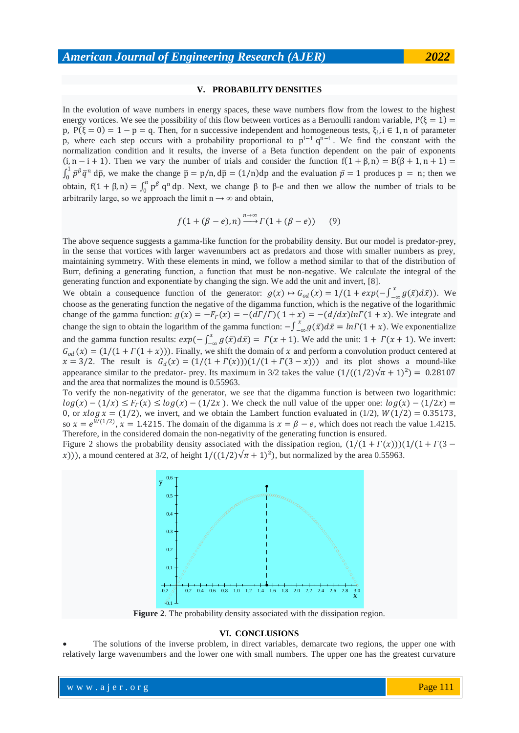#### **V. PROBABILITY DENSITIES**

In the evolution of wave numbers in energy spaces, these wave numbers flow from the lowest to the highest energy vortices. We see the possibility of this flow between vortices as a Bernoulli random variable,  $P(\xi = 1)$ p,  $P(\xi = 0) = 1 - p = q$ . Then, for n successive independent and homogeneous tests,  $\xi_i$ , i  $\in \{1, n\}$  of parameter p, where each step occurs with a probability proportional to  $p^{i-1} q^{n-i}$ . We find the constant with the normalization condition and it results, the inverse of a Beta function dependent on the pair of exponents  $(i, n - i + 1)$ . Then we vary the number of trials and consider the function  $f(1 + \beta, n) = B(\beta + 1, n + 1) =$  $\int_0^1 \bar{p}^{\beta} \bar{q}^n d\bar{p}$ , we make the change  $\bar{p} = p/n$ ,  $d\bar{p} = (1/n)dp$  and the evaluation  $\bar{p} = 1$  produces  $p = n$ ; then we 0 obtain,  $f(1 + \beta, n) = \int_0^n p^\beta q^n dp$ . Next, we change  $\beta$  to  $\beta$ -e and then we allow the number of trials to be arbitrarily large, so we approach the limit  $n \rightarrow \infty$  and obtain,

$$
f(1+(\beta-e),n) \xrightarrow{n \to \infty} \Gamma(1+(\beta-e)) \qquad (9)
$$

The above sequence suggests a gamma-like function for the probability density. But our model is predator-prey, in the sense that vortices with larger wavenumbers act as predators and those with smaller numbers as prey, maintaining symmetry. With these elements in mind, we follow a method similar to that of the distribution of Burr, defining a generating function, a function that must be non-negative. We calculate the integral of the generating function and exponentiate by changing the sign. We add the unit and invert, [8].

We obtain a consequence function of the generator:  $g(x) \mapsto G_{od}(x) = 1/(1 + exp(-\int_{-\infty}^{x} g(\bar{x}) d\bar{x})$ . We choose as the generating function the negative of the digamma function, which is the negative of the logarithmic change of the gamma function:  $g(x) = -F_\Gamma(x) = -(d\Gamma/\Gamma)(1 + x) = -(d/dx)ln\Gamma(1 + x)$ . We integrate and change the sign to obtain the logarithm of the gamma function:  $-\int_{-\infty}^{x} g(\bar{x}) d\bar{x} = ln\Gamma(1+x)$ . We exponentialize and the gamma function results:  $exp(-\int_{-\infty}^{x} g(\bar{x}) d\bar{x})$  $\int_{-\infty}^{\infty} g(\bar{x}) d\bar{x}$  =  $\Gamma(x + 1)$ . We add the unit: 1 +  $\Gamma(x + 1)$ . We invert:  $G_{od}(x) = (1/(1 + \Gamma(1 + x)))$ . Finally, we shift the domain of x and perform a convolution product centered at  $x = 3/2$ . The result is  $G_d(x) = (1/(1 + \Gamma(x)))(1/(1 + \Gamma(3 - x)))$  and its plot shows a mound-like appearance similar to the predator- prey. Its maximum in 3/2 takes the value  $(1/((1/2)\sqrt{\pi}+1)^2) = 0.28107$ and the area that normalizes the mound is 0.55963.

To verify the non-negativity of the generator, we see that the digamma function is between two logarithmic:  $log(x) - (1/x) \leq F_r(x) \leq log(x) - (1/2x)$ . We check the null value of the upper one:  $log(x) - (1/2x) =$ 0, or  $x \log x = (1/2)$ , we invert, and we obtain the Lambert function evaluated in (1/2),  $W(1/2) = 0.35173$ , so  $x = e^{W(1/2)}$ ,  $x = 1.4215$ . The domain of the digamma is  $x = \beta - e$ , which does not reach the value 1.4215. Therefore, in the considered domain the non-negativity of the generating function is ensured.

Figure 2 shows the probability density associated with the dissipation region,  $(1/(1 + \Gamma(x)))(1/(1 + \Gamma(3$ x))), a mound centered at 3/2, of height  $1/((1/2)\sqrt{\pi}+1)^2$ , but normalized by the area 0.55963.



**Figure 2**. The probability density associated with the dissipation region.

# **VI. CONCLUSIONS**

 The solutions of the inverse problem, in direct variables, demarcate two regions, the upper one with relatively large wavenumbers and the lower one with small numbers. The upper one has the greatest curvature